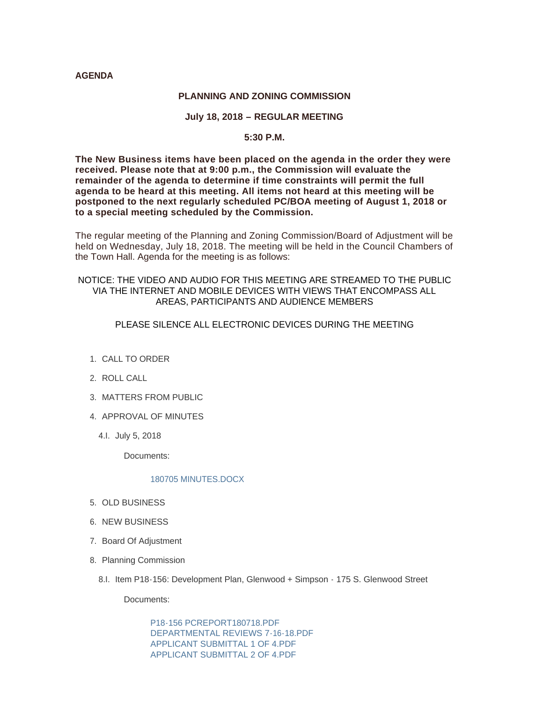#### **AGENDA**

#### **PLANNING AND ZONING COMMISSION**

## **July 18, 2018 – REGULAR MEETING**

## **5:30 P.M.**

**The New Business items have been placed on the agenda in the order they were received. Please note that at 9:00 p.m., the Commission will evaluate the remainder of the agenda to determine if time constraints will permit the full agenda to be heard at this meeting. All items not heard at this meeting will be postponed to the next regularly scheduled PC/BOA meeting of August 1, 2018 or to a special meeting scheduled by the Commission.**

The regular meeting of the Planning and Zoning Commission/Board of Adjustment will be held on Wednesday, July 18, 2018. The meeting will be held in the Council Chambers of the Town Hall. Agenda for the meeting is as follows:

## NOTICE: THE VIDEO AND AUDIO FOR THIS MEETING ARE STREAMED TO THE PUBLIC VIA THE INTERNET AND MOBILE DEVICES WITH VIEWS THAT ENCOMPASS ALL AREAS, PARTICIPANTS AND AUDIENCE MEMBERS

# PLEASE SILENCE ALL ELECTRONIC DEVICES DURING THE MEETING

- 1. CALL TO ORDER
- 2. ROLL CALL
- MATTERS FROM PUBLIC 3.
- 4. APPROVAL OF MINUTES
	- 4.l. July 5, 2018

Documents:

#### [180705 MINUTES.DOCX](http://www.jacksonwy.gov/AgendaCenter/ViewFile/Item/1388?fileID=3817)

- 5. OLD BUSINESS
- 6. NEW BUSINESS
- 7. Board Of Adjustment
- 8. Planning Commission
	- 8.I. Item P18-156: Development Plan, Glenwood + Simpson 175 S. Glenwood Street

Documents:

[P18-156 PCREPORT180718.PDF](http://www.jacksonwy.gov/AgendaCenter/ViewFile/Item/1387?fileID=3819) [DEPARTMENTAL REVIEWS 7-16-18.PDF](http://www.jacksonwy.gov/AgendaCenter/ViewFile/Item/1387?fileID=3825) [APPLICANT SUBMITTAL 1 OF 4.PDF](http://www.jacksonwy.gov/AgendaCenter/ViewFile/Item/1387?fileID=3821) [APPLICANT SUBMITTAL 2 OF 4.PDF](http://www.jacksonwy.gov/AgendaCenter/ViewFile/Item/1387?fileID=3822)